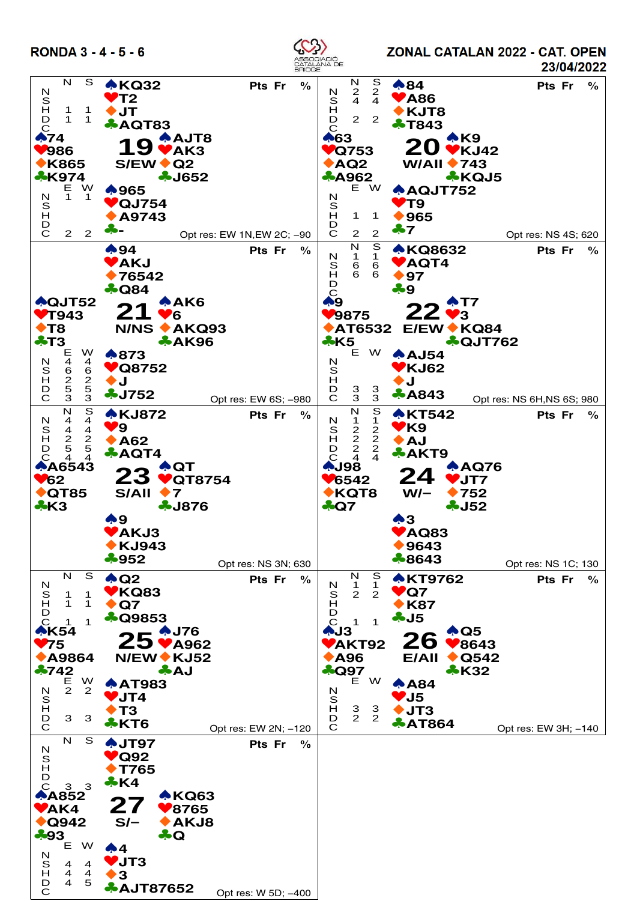

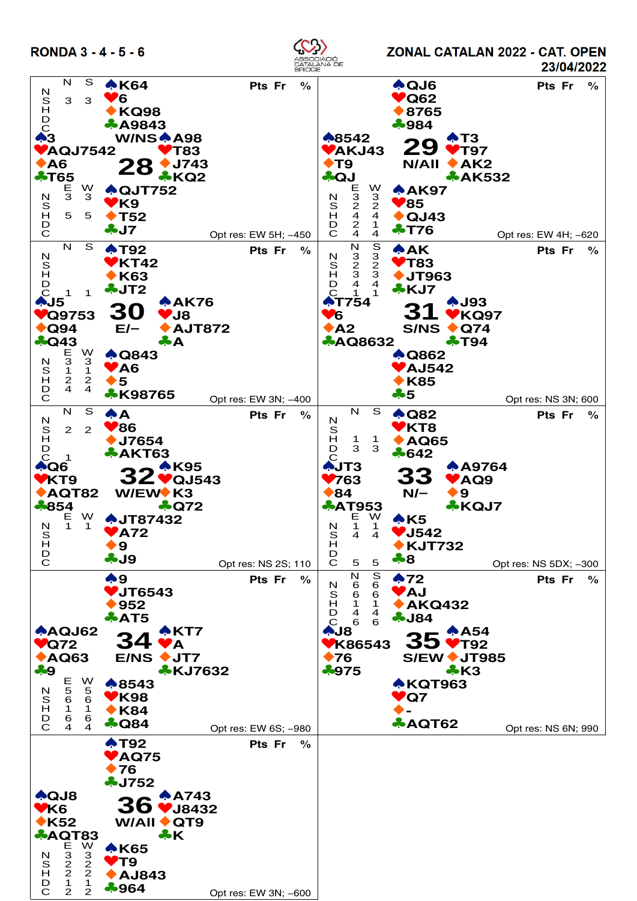

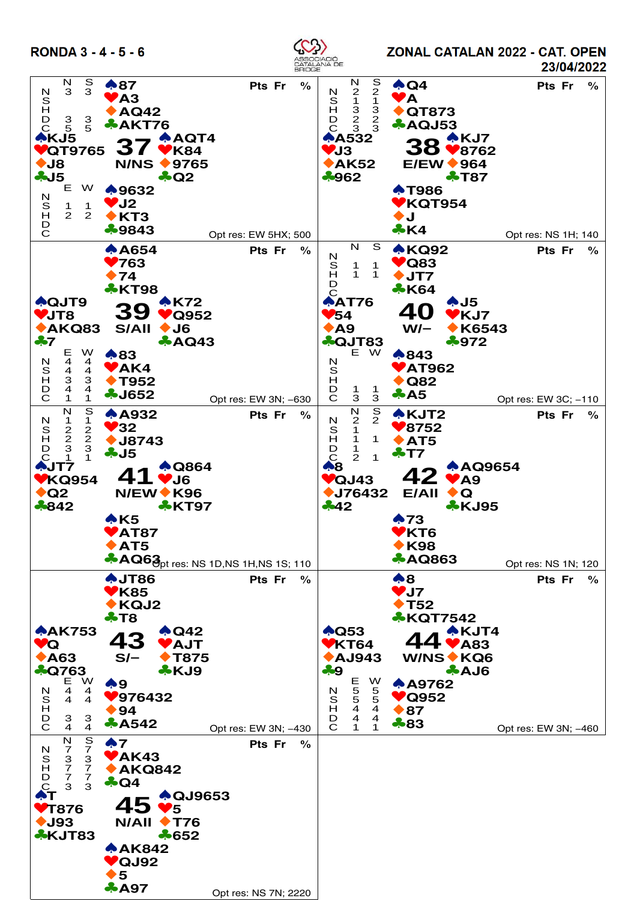